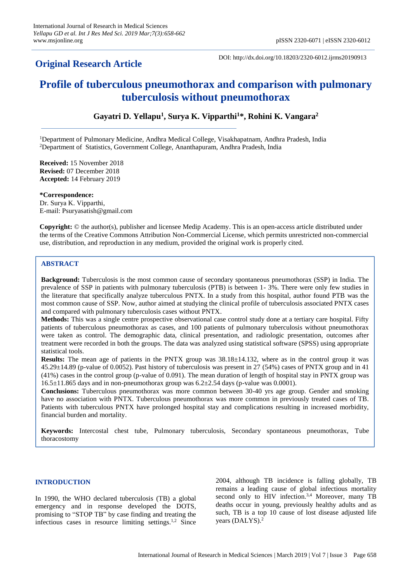# **Original Research Article**

DOI: http://dx.doi.org/10.18203/2320-6012.ijrms20190913

# **Profile of tuberculous pneumothorax and comparison with pulmonary tuberculosis without pneumothorax**

**Gayatri D. Yellapu<sup>1</sup> , Surya K. Vipparthi<sup>1</sup>\*, Rohini K. Vangara<sup>2</sup>**

<sup>1</sup>Department of Pulmonary Medicine, Andhra Medical College, Visakhapatnam, Andhra Pradesh, India <sup>2</sup>Department of Statistics, Government College, Ananthapuram, Andhra Pradesh, India

**Received:** 15 November 2018 **Revised:** 07 December 2018 **Accepted:** 14 February 2019

**\*Correspondence:** Dr. Surya K. Vipparthi, E-mail: Psuryasatish@gmail.com

**Copyright:** © the author(s), publisher and licensee Medip Academy. This is an open-access article distributed under the terms of the Creative Commons Attribution Non-Commercial License, which permits unrestricted non-commercial use, distribution, and reproduction in any medium, provided the original work is properly cited.

# **ABSTRACT**

**Background:** Tuberculosis is the most common cause of secondary spontaneous pneumothorax (SSP) in India. The prevalence of SSP in patients with pulmonary tuberculosis (PTB) is between 1- 3%. There were only few studies in the literature that specifically analyze tuberculous PNTX. In a study from this hospital, author found PTB was the most common cause of SSP. Now, author aimed at studying the clinical profile of tuberculosis associated PNTX cases and compared with pulmonary tuberculosis cases without PNTX.

**Methods:** This was a single centre prospective observational case control study done at a tertiary care hospital. Fifty patients of tuberculous pneumothorax as cases, and 100 patients of pulmonary tuberculosis without pneumothorax were taken as control. The demographic data, clinical presentation, and radiologic presentation, outcomes after treatment were recorded in both the groups. The data was analyzed using statistical software (SPSS) using appropriate statistical tools.

**Results:** The mean age of patients in the PNTX group was 38.18±14.132, where as in the control group it was 45.29±14.89 (p-value of 0.0052). Past history of tuberculosis was present in 27 (54%) cases of PNTX group and in 41 (41%) cases in the control group (p-value of 0.091). The mean duration of length of hospital stay in PNTX group was  $16.5\pm11.865$  days and in non-pneumothorax group was  $6.2\pm2.54$  days (p-value was 0.0001).

**Conclusions:** Tuberculous pneumothorax was more common between 30-40 yrs age group. Gender and smoking have no association with PNTX. Tuberculous pneumothorax was more common in previously treated cases of TB. Patients with tuberculous PNTX have prolonged hospital stay and complications resulting in increased morbidity, financial burden and mortality.

**Keywords:** Intercostal chest tube, Pulmonary tuberculosis, Secondary spontaneous pneumothorax, Tube thoracostomy

### **INTRODUCTION**

In 1990, the WHO declared tuberculosis (TB) a global emergency and in response developed the DOTS, promising to "STOP TB" by case finding and treating the infectious cases in resource limiting settings.<sup>1,2</sup> Since

2004, although TB incidence is falling globally, TB remains a leading cause of global infectious mortality second only to HIV infection.<sup>3,4</sup> Moreover, many TB deaths occur in young, previously healthy adults and as such, TB is a top 10 cause of lost disease adjusted life years (DALYS). 2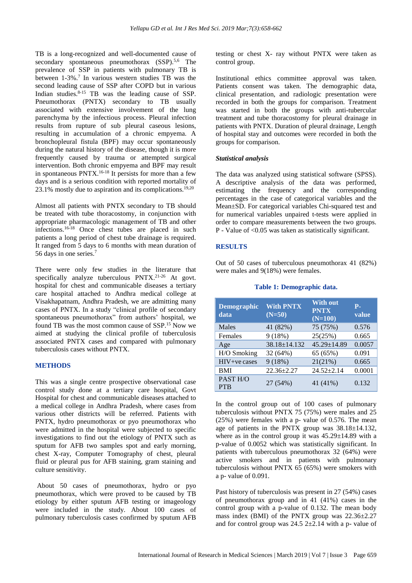TB is a long-recognized and well-documented cause of secondary spontaneous pneumothorax (SSP).<sup>5,6</sup> The prevalence of SSP in patients with pulmonary TB is between 1-3%.<sup>7</sup> In various western studies TB was the second leading cause of SSP after COPD but in various Indian studies. 8-15 TB was the leading cause of SSP. Pneumothorax (PNTX) secondary to TB usually associated with extensive involvement of the lung parenchyma by the infectious process. Pleural infection results from rupture of sub pleural caseous lesions, resulting in accumulation of a chronic empyema. A bronchopleural fistula (BPF) may occur spontaneously during the natural history of the disease, though it is more frequently caused by trauma or attempted surgical intervention. Both chronic empyema and BPF may result in spontaneous PNTX.<sup>16-18</sup> It persists for more than a few days and is a serious condition with reported mortality of 23.1% mostly due to aspiration and its complications.<sup>19,20</sup>

Almost all patients with PNTX secondary to TB should be treated with tube thoracostomy, in conjunction with appropriate pharmacologic management of TB and other infections.16-18 Once chest tubes are placed in such patients a long period of chest tube drainage is required. It ranged from 5 days to 6 months with mean duration of 56 days in one series.<sup>7</sup>

There were only few studies in the literature that specifically analyze tuberculous PNTX.<sup>21-26</sup> At govt. hospital for chest and communicable diseases a tertiary care hospital attached to Andhra medical college at Visakhapatnam, Andhra Pradesh, we are admitting many cases of PNTX. In a study "clinical profile of secondary spontaneous pneumothorax" from authors' hospital, we found TB was the most common cause of SSP.<sup>15</sup> Now we aimed at studying the clinical profile of tuberculosis associated PNTX cases and compared with pulmonary tuberculosis cases without PNTX.

#### **METHODS**

This was a single centre prospective observational case control study done at a tertiary care hospital, Govt Hospital for chest and communicable diseases attached to a medical college in Andhra Pradesh, where cases from various other districts will be referred. Patients with PNTX, hydro pneumothorax or pyo pneumothorax who were admitted in the hospital were subjected to specific investigations to find out the etiology of PNTX such as sputum for AFB two samples spot and early morning, chest X-ray, Computer Tomography of chest, pleural fluid or pleural pus for AFB staining, gram staining and culture sensitivity.

About 50 cases of pneumothorax, hydro or pyo pneumothorax, which were proved to be caused by TB etiology by either sputum AFB testing or imageology were included in the study. About 100 cases of pulmonary tuberculosis cases confirmed by sputum AFB testing or chest X- ray without PNTX were taken as control group.

Institutional ethics committee approval was taken. Patients consent was taken. The demographic data, clinical presentation, and radiologic presentation were recorded in both the groups for comparison. Treatment was started in both the groups with anti-tubercular treatment and tube thoracostomy for pleural drainage in patients with PNTX. Duration of pleural drainage, Length of hospital stay and outcomes were recorded in both the groups for comparison.

# *Statistical analysis*

The data was analyzed using statistical software (SPSS). A descriptive analysis of the data was performed, estimating the frequency and the corresponding percentages in the case of categorical variables and the Mean±SD. For categorical variables Chi-squared test and for numerical variables unpaired t-tests were applied in order to compare measurements between the two groups. P - Value of <0.05 was taken as statistically significant.

# **RESULTS**

Out of 50 cases of tuberculous pneumothorax 41 (82%) were males and 9(18%) were females.

#### **Table 1: Demographic data.**

| <b>Demographic</b><br>data | <b>With PNTX</b><br>$(N=50)$ | <b>With out</b><br><b>PNTX</b><br>$(N=100)$ | <b>P.</b><br>value |
|----------------------------|------------------------------|---------------------------------------------|--------------------|
| Males                      | 41 (82%)                     | 75 (75%)                                    | 0.576              |
| Females                    | 9(18%)                       | 25(25%)                                     | 0.665              |
| Age                        | $38.18 \pm 14.132$           | 45.29±14.89                                 | 0.0057             |
| H/O Smoking                | 32 (64%)                     | 65 (65%)                                    | 0.091              |
| $HIV+ve$ cases             | 9(18%)                       | 21(21%)                                     | 0.665              |
| BMI                        | $22.36 \pm 2.27$             | $24.52 \pm 2.14$                            | 0.0001             |
| PAST H/O<br><b>PTB</b>     | 27 (54%)                     | 41 (41%)                                    | 0.132              |

In the control group out of 100 cases of pulmonary tuberculosis without PNTX 75 (75%) were males and 25 (25%) were females with a p- value of 0.576. The mean age of patients in the PNTX group was  $38.18 \pm 14.132$ , where as in the control group it was  $45.29 \pm 14.89$  with a p-value of 0.0052 which was statistically significant. In patients with tuberculous pneumothorax 32 (64%) were active smokers and in patients with pulmonary tuberculosis without PNTX 65 (65%) were smokers with a p- value of 0.091.

Past history of tuberculosis was present in 27 (54%) cases of pneumothorax group and in 41 (41%) cases in the control group with a p-value of 0.132. The mean body mass index (BMI) of the PNTX group was 22.36±2.27 and for control group was  $24.5$   $2\pm2.14$  with a p- value of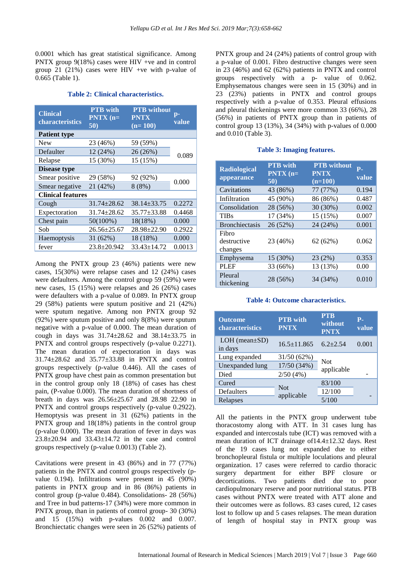0.0001 which has great statistical significance. Among PNTX group 9(18%) cases were HIV +ve and in control group 21 (21%) cases were HIV +ve with p-value of 0.665 (Table 1).

# **Table 2: Clinical characteristics.**

| <b>Clinical</b><br>characteristics | <b>PTB</b> with<br>$PNTX$ (n=<br>50) | <b>PTB</b> without<br><b>PNTX</b><br>$(n=100)$ | p-<br>value |
|------------------------------------|--------------------------------------|------------------------------------------------|-------------|
| <b>Patient type</b>                |                                      |                                                |             |
| <b>New</b>                         | 23 (46%)                             | 59 (59%)                                       |             |
| Defaulter                          | 12 (24%)                             | 26 (26%)                                       | 0.089       |
| Relapse                            | 15 (30%)                             | 15 (15%)                                       |             |
| <b>Disease type</b>                |                                      |                                                |             |
| Smear positive                     | 29 (58%)                             | 92 (92%)                                       |             |
| Smear negative                     | 21 (42%)                             | 8(8%)                                          | 0.000       |
| <b>Clinical features</b>           |                                      |                                                |             |
| Cough                              | $31.74 + 28.62$                      | $38.14 + 33.75$                                | 0.2272      |
| Expectoration                      | $31.74 \pm 28.62$                    | $35.77 \pm 33.88$                              | 0.4468      |
| Chest pain                         | 50(100%)                             | 18(18%)                                        | 0.000       |
| Sob                                | $26.56 \pm 25.67$                    | $28.98 \pm 22.90$                              | 0.2922      |
| Haemoptysis                        | 31 (62%)                             | 18 (18%)                                       | 0.000       |
| fever                              | $23.8 + 20.942$                      | $33.43 \pm 14.72$                              | 0.0013      |

Among the PNTX group 23 (46%) patients were new cases, 15(30%) were relapse cases and 12 (24%) cases were defaulters. Among the control group 59 (59%) were new cases, 15 (15%) were relapses and 26 (26%) cases were defaulters with a p-value of 0.089. In PNTX group 29 (58%) patients were sputum positive and 21 (42%) were sputum negative. Among non PNTX group 92 (92%) were sputum positive and only 8(8%) were sputum negative with a p-value of 0.000. The mean duration of cough in days was 31.74±28.62 and 38.14±33.75 in PNTX and control groups respectively (p-value 0.2271). The mean duration of expectoration in days was 31.74±28.62 and 35.77±33.88 in PNTX and control groups respectively (p-value 0.446). All the cases of PNTX group have chest pain as common presentation but in the control group only 18 (18%) of cases has chest pain, (P-value 0.000). The mean duration of shortness of breath in days was 26.56±25.67 and 28.98 22.90 in PNTX and control groups respectively (p-value 0.2922). Hemoptysis was present in 31 (62%) patients in the PNTX group and 18(18%) patients in the control group (p-value 0.000). The mean duration of fever in days was 23.8±20.94 and 33.43±14.72 in the case and control groups respectively (p-value 0.0013) (Table 2).

Cavitations were present in 43 (86%) and in 77 (77%) patients in the PNTX and control groups respectively (pvalue 0.194). Infiltrations were present in 45 (90%) patients in PNTX group and in 86 (86%) patients in control group (p-value 0.484). Consolidations- 28 (56%) and Tree in bud patterns-17 (34%) were more common in PNTX group, than in patients of control group- 30 (30%) and 15 (15%) with p-values 0.002 and 0.007. Bronchiectatic changes were seen in 26 (52%) patients of PNTX group and 24 (24%) patients of control group with a p-value of 0.001. Fibro destructive changes were seen in 23 (46%) and 62 (62%) patients in PNTX and control groups respectively with a p- value of 0.062. Emphysematous changes were seen in 15 (30%) and in 23 (23%) patients in PNTX and control groups respectively with a p-value of 0.353. Pleural effusions and pleural thickenings were more common 33 (66%), 28 (56%) in patients of PNTX group than in patients of control group 13 (13%), 34 (34%) with p-values of 0.000 and 0.010 (Table 3).

# **Table 3: Imaging features.**

| <b>Radiological</b><br>appearance | <b>PTB</b> with<br>$PNTX$ (n=<br>50) | <b>PTB</b> without<br><b>PNTX</b><br>$(n=100)$ | Р.<br>value |
|-----------------------------------|--------------------------------------|------------------------------------------------|-------------|
| Cavitations                       | 43 (86%)                             | 77 (77%)                                       | 0.194       |
| Infiltration                      | 45 (90%)                             | 86 (86%)                                       | 0.487       |
| Consolidation                     | 28 (56%)                             | 30 (30%)                                       | 0.002       |
| <b>TIBs</b>                       | 17 (34%)                             | 15 (15%)                                       | 0.007       |
| <b>Bronchiectasis</b>             | 26 (52%)                             | 24 (24%)                                       | 0.001       |
| Fibro<br>destructive<br>changes   | 23 (46%)                             | 62(62%)                                        | 0.062       |
| Emphysema                         | 15 (30%)                             | 23 (2%)                                        | 0.353       |
| <b>PLEF</b>                       | 33 (66%)                             | 13 (13%)                                       | 0.00        |
| Pleural<br>thickening             | 28 (56%)                             | 34 (34%)                                       | 0.010       |

#### **Table 4: Outcome characteristics.**

| <b>Outcome</b><br>characteristics | <b>PTB</b> with<br><b>PNTX</b> | <b>PTB</b><br>without<br><b>PNTX</b> | $P -$<br>value |
|-----------------------------------|--------------------------------|--------------------------------------|----------------|
| $LOH$ (mean $\pm SD$ )<br>in days | $16.5 \pm 11.865$              | $6.2 + 2.54$                         | 0.001          |
| Lung expanded                     | 31/50 (62%)                    | <b>Not</b>                           |                |
| Unexpanded lung                   | 17/50 (34%)                    | applicable                           |                |
| Died                              | 2/50(4%)                       |                                      |                |
| Cured                             |                                | 83/100                               |                |
| Defaulters                        | <b>Not</b><br>applicable       | 12/100                               |                |
| Relapses                          |                                | 5/100                                |                |

All the patients in the PNTX group underwent tube thoracostomy along with ATT. In 31 cases lung has expanded and intercostals tube (ICT) was removed with a mean duration of ICT drainage of14.4±12.32 days. Rest of the 19 cases lung not expanded due to either bronchopleural fistula or multiple loculations and pleural organization. 17 cases were referred to cardio thoracic surgery department for either BPF closure or decortications. Two patients died due to poor cardiopulmonary reserve and poor nutritional status. PTB cases without PNTX were treated with ATT alone and their outcomes were as follows. 83 cases cured, 12 cases lost to follow up and 5 cases relapses. The mean duration of length of hospital stay in PNTX group was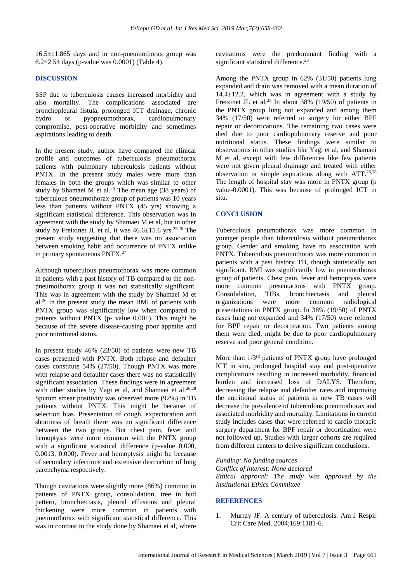$16.5\pm11.865$  days and in non-pneumothorax group was 6.2±2.54 days (p-value was 0.0001) (Table 4).

#### **DISCUSSION**

SSP due to tuberculosis causes increased morbidity and also mortality. The complications associated are bronchopleural fistula, prolonged ICT drainage, chronic hydro or pyopneumothorax, cardiopulmonary compromise, post-operative morbidity and sometimes aspirations leading to death.

In the present study, author have compared the clinical profile and outcomes of tuberculosis pneumothorax patients with pulmonary tuberculosis patients without PNTX. In the present study males were more than females in both the groups which was similar to other study by Shamaei M et al. <sup>26</sup> The mean age (38 years) of tuberculous pneumothorax group of patients was 10 years less than patients without PNTX (45 yrs) showing a significant statistical difference. This observation was in agreement with the study by Shamaei M et al, but in other study by Freixinet JL et al, it was  $46.6 \pm 15.6$  yrs.<sup>25,26</sup> The present study suggesting that there was no association between smoking habit and occurrence of PNTX unlike in primary spontaneous PNTX.<sup>27</sup>

Although tuberculous pneumothorax was more common in patients with a past history of TB compared to the nonpneumothorax group it was not statistically significant. This was in agreement with the study by Shamaei M et al. <sup>26</sup> In the present study the mean BMI of patients with PNTX group was significantly low when compared to patients without PNTX (p- value 0.001). This might be because of the severe disease-causing poor appetite and poor nutritional status.

In present study 46% (23/50) of patients were new TB cases presented with PNTX. Both relapse and defaulter cases constitute 54% (27/50). Though PNTX was more with relapse and defaulter cases there was no statistically significant association. These findings were in agreement with other studies by Yagi et al, and Shamaei et al.<sup>26,28</sup> Sputum smear positivity was observed more (92%) in TB patients without PNTX. This might be because of selection bias. Presentation of cough, expectoration and shortness of breath there was no significant difference between the two groups. But chest pain, fever and hemoptysis were more common with the PNTX group with a significant statistical difference (p-value 0.000, 0.0013, 0.000). Fever and hemoptysis might be because of secondary infections and extensive destruction of lung parenchyma respectively.

Though cavitations were slightly more (86%) common in patients of PNTX group, consolidation, tree in bud pattern, bronchiectasis, pleural effusions and pleural thickening were more common in patients with pneumothorax with significant statistical difference. This was in contrast to the study done by Shamaei et al, where cavitations were the predominant finding with a significant statistical difference.<sup>26</sup>

Among the PNTX group in 62% (31/50) patients lung expanded and drain was removed with a mean duration of  $14.4 \pm 12.2$ , which was in agreement with a study by Freixinet JL et al.<sup>25</sup> In about 38% (19/50) of patients in the PNTX group lung not expanded and among them 34% (17/50) were referred to surgery for either BPF repair or decortications. The remaining two cases were died due to poor cardiopulmonary reserve and poor nutritional status. These findings were similar to observations in other studies like Yagi et al, and Shamaei M et al, except with few differences like few patients were not given pleural drainage and treated with either observation or simple aspirations along with ATT.26,28 The length of hospital stay was more in PNTX group (p value-0.0001). This was because of prolonged ICT in situ.

#### **CONCLUSION**

Tuberculous pneumothorax was more common in younger people than tuberculosis without pneumothorax group. Gender and smoking have no association with PNTX. Tuberculous pneumothorax was more common in patients with a past history TB, though statistically not significant. BMI was significantly low in pneumothorax group of patients. Chest pain, fever and hemoptysis were more common presentations with PNTX group. Consolidation, TIBs, bronchiectasis and pleural organizations were more common radiological presentations in PNTX group. In 38% (19/50) of PNTX cases lung not expanded and 34% (17/50) were referred for BPF repair or decortication. Two patients among them were died, might be due to poor cardiopulmonary reserve and poor general condition.

More than 1/3rd patients of PNTX group have prolonged ICT in situ, prolonged hospital stay and post-operative complications resulting in increased morbidity, financial burden and increased loss of DALYS. Therefore, decreasing the relapse and defaulter rates and improving the nutritional status of patients in new TB cases will decrease the prevalence of tuberculous pneumothorax and associated morbidity and mortality. Limitations in current study includes cases that were referred to cardio thoracic surgery department for BPF repair or decortication were not followed up. Studies with larger cohorts are required from different centers to derive significant conclusions.

*Funding: No funding sources*

*Conflict of interest: None declared Ethical approval: The study was approved by the Institutional Ethics Committee*

#### **REFERENCES**

1. Murray JF. A century of tuberculosis. Am J Respir Crit Care Med. 2004;169:1181-6.